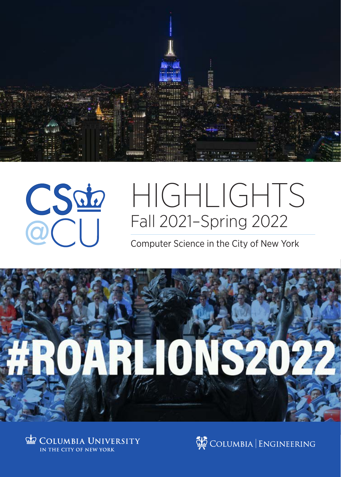



# HIGHLIGHTS Fall 2021–Spring 2022

### Computer Science in the City of New York





COLUMBIA ENGINEERING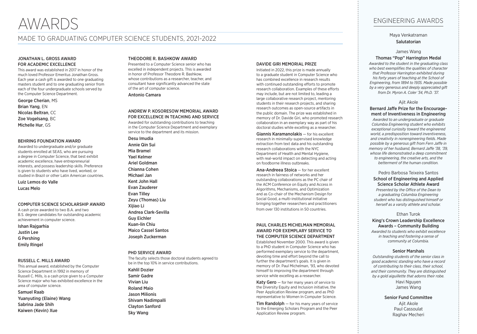### MADE TO GRADUATING COMPUTER SCIENCE STUDENTS, 2021-2022

### JONATHAN L. GROSS AWARD FOR ACADEMIC EXCELLENCE

This award was established in 2017 in honor of the much loved Professor Emeritus Jonathan Gross. Each year a cash gift is awarded to one graduating masters student and to one graduating senior from each of the four undergraduate schools served by the Computer Science Department.

George Cherian, MS Brian Yang, EN Nicolas Beltran, CC Zoe Vogelsang, BC Michelle Hur, GS

### BEHRING FOUNDATION AWARD

Awarded to undergraduate and/or graduate students enrolled at SEAS, who are pursuing a degree in Computer Science, that best exhibit academic excellence, have entrepreneurial interests, and possess leadership skills. Preference is given to students who have lived, worked, or studied in Brazil or other Latin American countries.

Luiz Lemos do Valle Lucas Melo

### COMPUTER SCIENCE SCHOLARSHIP AWARD

A cash prize awarded to two B.A. and two B.S. degree candidates for outstanding academic achievement in computer science.

Ishan Rajgarhia Justin Lee G Pershing Emily Ringel

### RUSSELL C. MILLS AWARD

This annual award, established by the Computer Science Department in 1992 in memory of Russell C. Mills, is a cash prize given to a Computer Science major who has exhibited excellence in the area of computer science.

### Samuel Raab

Yuanyuting (Elaine) Wang Sabrina Jade Shih Kaiwen (Kevin) Xue

### THEODORE R. BASHKOW AWARD

Presented to a Computer Science senior who has excelled in independent projects. This is awarded in honor of Professor Theodore R. Bashkow, whose contributions as a researcher, teacher, and consultant have significantly advanced the state of the art of computer science.

Antonio Camara

#### ANDREW P. KOSORESOW MEMORIAL AWARD FOR EXCELLENCE IN TEACHING AND SERVICE

Awarded for outstanding contributions to teaching in the Computer Science Department and exemplary service to the department and its mission.

Desu Imudia Annie Qin Sui Mia Bramel Yael Kelmer Ariel Goldman Chianna Cohen Michael Jan Kent John Hall Evan Zauderer Evan Tilley Zeyu (Thomas) Liu Xijiao Li Andrea Clark-Sevilla Guy Eichler Kuan-lin Chiu Maico Cassel Santos Joseph Zuckerman

#### PHD SERVICE AWARD

The faculty selects those doctoral students agreed to be in the top 10% in service contributions.

Kahlil Dozier Samir Gadre Vivian Liu Roland Maio Jason Milionis Shivam Nadimpalli Clayton Sanford Sky Wang

### DAVIDE GIRI MEMORIAL PRIZE

Initiated in 2022, this prize is made annually to a graduate student in Computer Science who has combined excellence in research results with continued outstanding efforts to promote research collaboration. Examples of these efforts may include, but are not limited to, leading a large collaborative research project, mentoring students in their research projects, and sharing research outcomes as open-source artifacts in the public domain. The prize was established in memory of Dr. Davide Giri, who promoted research collaboration in an exemplary way as part of his doctoral studies while excelling as a researcher.

Giannis Karamanolakis — for his excellent research in minimally-supervised knowledge extraction from text data and his outstanding research collaborations with the NYC Department of Health and Mental Hygiene, with real-world impact on detecting and acting on foodborne illness outbreaks.

Ana-Andreea Stoica — for her excellent research in fairness of networks and her outstanding collaborations as the PC chair of the ACM Conference on Equity and Access in Algorithms, Mechanisms, and Optimization and as Co-chair of the Mechanism Design for Social Good, a multi-institutional initiative bringing together researchers and practitioners from over 130 institutions in 50 countries.

### PAUL CHARLES MICHELMAN MEMORIAL AWARD FOR EXEMPLARY SERVICE TO THE COMPUTER SCIENCE DEPARTMENT

Established November 2000. This award is given to a PhD student in Computer Science who has performed exemplary service to the department, devoting time and effort beyond the call to further the department's goals. It is given in memory of Dr. Paul Michelman, '93, who devoted himself to improving the department through service while excelling as a researcher.

Katy Gero - for her many years of service to the Diversity Equity and Inclusion initiative, the Peer Application Review program, and as PhD representative to Women In Computer Science.

**Tim Randolph** — for his many years of service to the Emerging Scholars Program and the Peer Application Review program.

### ENGINEERING AWARDS

Maya Venkatraman Salutatorian

### James Wang Thomas "Pop" Harrington Medal

*Awarded to the student in the graduating class who best exemplifies the qualities of character that Professor Harrington exhibited during his forty years of teaching at the School of Engineering, from 1894 to 1935. Made possible by a very generous and deeply appreciated gift from Dr. Myron A. Coler '34, Ph.D. '37.*

#### Ajit Akole

### Bernard Jaffe Prize for the Encouragement of Inventiveness in Engineering

*Awarded to an undergraduate or graduate Columbia Engineering student who exhibits exceptional curiosity toward the engineered world, a predisposition toward inventiveness, and creativity in nonengineering fields. Made possible by a generous gift from Fern Jaffe in memory of her husband, Bernard Jaffe '38, '39, whose life demonstrated a deep commitment to engineering, the creative arts, and the betterment of the human condition.*

### Pedro Barbosa Teixeira Santos School of Engineering and Applied Science Scholar Athlete Award

*Presented by the Office of the Dean to a graduating Columbia Engineering student who has distinguished himself or herself as a varsity athlete and scholar.*

#### Ethan Turok

### King's Crown Leadership Excellence Awards – Community Building

*Awarded to students who exhibit excellence in teaching and fostering a sense of community at Columbia.*

#### Senior Marshals

*Outstanding students of the senior class in good academic standing who have a record of contributing to their class, their school, and their community. They are distinguished by a gold aiguillette that adorns their robe.* 

> Havi Nguyen James Wang

Senior Fund Committee

Ajit Akole Paul Cassoulat Raghav Mecheri